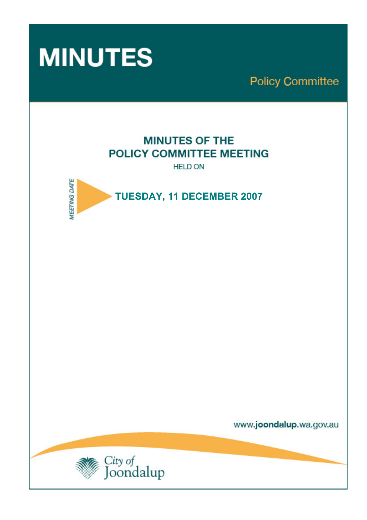

**Policy Committee** 

# **MINUTES OF THE** POLICY COMMITTEE MEETING

**HELD ON** 



www.joondalup.wa.gov.au

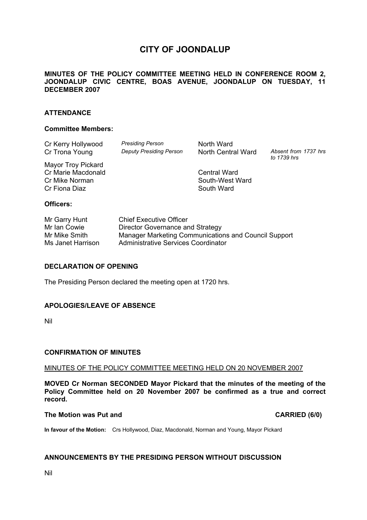# **CITY OF JOONDALUP**

#### **MINUTES OF THE POLICY COMMITTEE MEETING HELD IN CONFERENCE ROOM 2, JOONDALUP CIVIC CENTRE, BOAS AVENUE, JOONDALUP ON TUESDAY, 11 DECEMBER 2007**

#### **ATTENDANCE**

#### **Committee Members:**

| Cr Kerry Hollywood<br>Cr Trona Young                                        | <b>Presiding Person</b><br><b>Deputy Presiding Person</b> | North Ward<br>North Central Ward                     | Absent from 1737 hrs<br>to 1739 hrs |
|-----------------------------------------------------------------------------|-----------------------------------------------------------|------------------------------------------------------|-------------------------------------|
| Mayor Troy Pickard<br>Cr Marie Macdonald<br>Cr Mike Norman<br>Cr Fiona Diaz |                                                           | <b>Central Ward</b><br>South-West Ward<br>South Ward |                                     |
| Officers:                                                                   |                                                           |                                                      |                                     |

| Mr Garry Hunt     | <b>Chief Executive Officer</b>                       |
|-------------------|------------------------------------------------------|
| Mr Ian Cowie      | Director Governance and Strategy                     |
| Mr Mike Smith     | Manager Marketing Communications and Council Support |
| Ms Janet Harrison | Administrative Services Coordinator                  |

#### **DECLARATION OF OPENING**

The Presiding Person declared the meeting open at 1720 hrs.

#### **APOLOGIES/LEAVE OF ABSENCE**

Nil

#### **CONFIRMATION OF MINUTES**

#### MINUTES OF THE POLICY COMMITTEE MEETING HELD ON 20 NOVEMBER 2007

**MOVED Cr Norman SECONDED Mayor Pickard that the minutes of the meeting of the Policy Committee held on 20 November 2007 be confirmed as a true and correct record.** 

#### The Motion was Put and **CARRIED** (6/0)

**In favour of the Motion:** Crs Hollywood, Diaz, Macdonald, Norman and Young, Mayor Pickard

#### **ANNOUNCEMENTS BY THE PRESIDING PERSON WITHOUT DISCUSSION**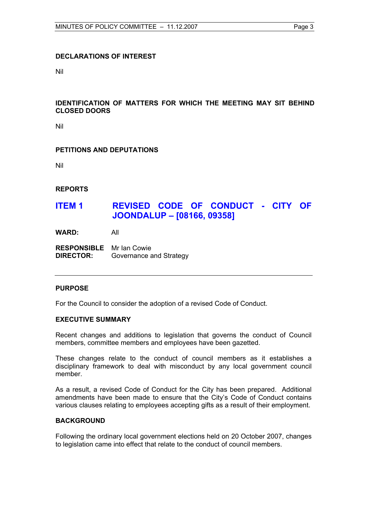#### **DECLARATIONS OF INTEREST**

Nil

#### **IDENTIFICATION OF MATTERS FOR WHICH THE MEETING MAY SIT BEHIND CLOSED DOORS**

Nil

#### **PETITIONS AND DEPUTATIONS**

Nil

**REPORTS** 

## **ITEM 1 REVISED CODE OF CONDUCT - CITY OF JOONDALUP – [08166, 09358]**

**WARD:** All

**RESPONSIBLE** Mr Ian Cowie **DIRECTOR:** Governance and Strategy

#### **PURPOSE**

For the Council to consider the adoption of a revised Code of Conduct.

#### **EXECUTIVE SUMMARY**

Recent changes and additions to legislation that governs the conduct of Council members, committee members and employees have been gazetted.

These changes relate to the conduct of council members as it establishes a disciplinary framework to deal with misconduct by any local government council member.

As a result, a revised Code of Conduct for the City has been prepared. Additional amendments have been made to ensure that the City's Code of Conduct contains various clauses relating to employees accepting gifts as a result of their employment.

#### **BACKGROUND**

Following the ordinary local government elections held on 20 October 2007, changes to legislation came into effect that relate to the conduct of council members.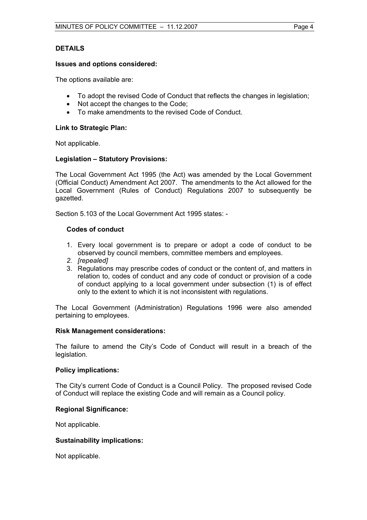#### **DETAILS**

#### **Issues and options considered:**

The options available are:

- To adopt the revised Code of Conduct that reflects the changes in legislation;
- Not accept the changes to the Code;
- To make amendments to the revised Code of Conduct.

#### **Link to Strategic Plan:**

Not applicable.

#### **Legislation – Statutory Provisions:**

The Local Government Act 1995 (the Act) was amended by the Local Government (Official Conduct) Amendment Act 2007. The amendments to the Act allowed for the Local Government (Rules of Conduct) Regulations 2007 to subsequently be gazetted.

Section 5.103 of the Local Government Act 1995 states: -

#### **Codes of conduct**

- 1. Every local government is to prepare or adopt a code of conduct to be observed by council members, committee members and employees.
- *2. [repealed]*
- 3. Regulations may prescribe codes of conduct or the content of, and matters in relation to, codes of conduct and any code of conduct or provision of a code of conduct applying to a local government under subsection (1) is of effect only to the extent to which it is not inconsistent with regulations.

The Local Government (Administration) Regulations 1996 were also amended pertaining to employees.

#### **Risk Management considerations:**

The failure to amend the City's Code of Conduct will result in a breach of the legislation.

#### **Policy implications:**

The City's current Code of Conduct is a Council Policy. The proposed revised Code of Conduct will replace the existing Code and will remain as a Council policy.

#### **Regional Significance:**

Not applicable.

#### **Sustainability implications:**

Not applicable.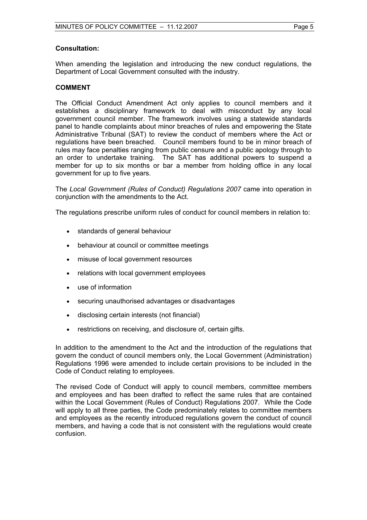#### **Consultation:**

When amending the legislation and introducing the new conduct regulations, the Department of Local Government consulted with the industry.

#### **COMMENT**

The Official Conduct Amendment Act only applies to council members and it establishes a disciplinary framework to deal with misconduct by any local government council member. The framework involves using a statewide standards panel to handle complaints about minor breaches of rules and empowering the State Administrative Tribunal (SAT) to review the conduct of members where the Act or regulations have been breached. Council members found to be in minor breach of rules may face penalties ranging from public censure and a public apology through to an order to undertake training. The SAT has additional powers to suspend a member for up to six months or bar a member from holding office in any local government for up to five years.

The *Local Government (Rules of Conduct) Regulations 2007* came into operation in conjunction with the amendments to the Act.

The regulations prescribe uniform rules of conduct for council members in relation to:

- standards of general behaviour
- behaviour at council or committee meetings
- misuse of local government resources
- relations with local government employees
- use of information
- securing unauthorised advantages or disadvantages
- disclosing certain interests (not financial)
- restrictions on receiving, and disclosure of, certain gifts.

In addition to the amendment to the Act and the introduction of the regulations that govern the conduct of council members only, the Local Government (Administration) Regulations 1996 were amended to include certain provisions to be included in the Code of Conduct relating to employees.

The revised Code of Conduct will apply to council members, committee members and employees and has been drafted to reflect the same rules that are contained within the Local Government (Rules of Conduct) Regulations 2007. While the Code will apply to all three parties, the Code predominately relates to committee members and employees as the recently introduced regulations govern the conduct of council members, and having a code that is not consistent with the regulations would create confusion.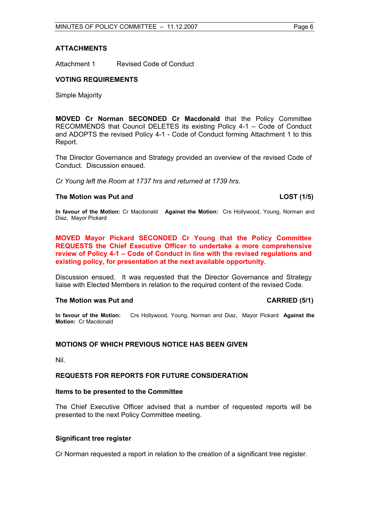#### **ATTACHMENTS**

Attachment 1 Revised Code of Conduct

#### **VOTING REQUIREMENTS**

Simple Majority

**MOVED Cr Norman SECONDED Cr Macdonald** that the Policy Committee RECOMMENDS that Council DELETES its existing Policy 4-1 – Code of Conduct and ADOPTS the revised Policy 4-1 - Code of Conduct forming Attachment 1 to this Report.

The Director Governance and Strategy provided an overview of the revised Code of Conduct. Discussion ensued.

*Cr Young left the Room at 1737 hrs and returned at 1739 hrs.* 

#### The Motion was Put and **LOST** (1/5)

**In favour of the Motion:** Cr Macdonald **Against the Motion:** Crs Hollywood, Young, Norman and Diaz, Mayor Pickard

**MOVED Mayor Pickard SECONDED Cr Young that the Policy Committee REQUESTS the Chief Executive Officer to undertake a more comprehensive review of Policy 4-1 – Code of Conduct in line with the revised regulations and existing policy, for presentation at the next available opportunity.** 

Discussion ensued. It was requested that the Director Governance and Strategy liaise with Elected Members in relation to the required content of the revised Code.

#### **The Motion was Put and CARRIED (5/1) CARRIED (5/1)**

**In favour of the Motion:** Crs Hollywood, Young, Norman and Diaz, Mayor Pickard **Against the Motion:** Cr Macdonald

#### **MOTIONS OF WHICH PREVIOUS NOTICE HAS BEEN GIVEN**

Nil.

#### **REQUESTS FOR REPORTS FOR FUTURE CONSIDERATION**

### **Items to be presented to the Committee**

The Chief Executive Officer advised that a number of requested reports will be presented to the next Policy Committee meeting.

### **Significant tree register**

Cr Norman requested a report in relation to the creation of a significant tree register.